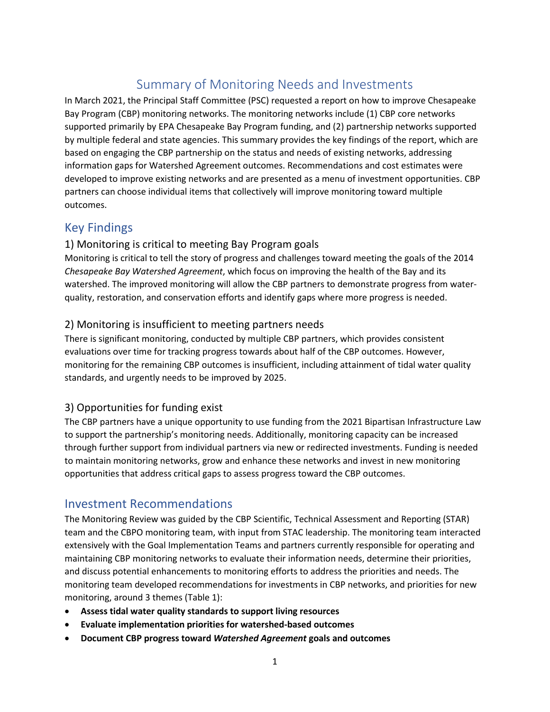# Summary of Monitoring Needs and Investments

In March 2021, the Principal Staff Committee (PSC) requested a report on how to improve Chesapeake Bay Program (CBP) monitoring networks. The monitoring networks include (1) CBP core networks supported primarily by EPA Chesapeake Bay Program funding, and (2) partnership networks supported by multiple federal and state agencies. This summary provides the key findings of the report, which are based on engaging the CBP partnership on the status and needs of existing networks, addressing information gaps for Watershed Agreement outcomes. Recommendations and cost estimates were developed to improve existing networks and are presented as a menu of investment opportunities. CBP partners can choose individual items that collectively will improve monitoring toward multiple outcomes.

## Key Findings

#### 1) Monitoring is critical to meeting Bay Program goals

Monitoring is critical to tell the story of progress and challenges toward meeting the goals of the 2014 *Chesapeake Bay Watershed Agreement*, which focus on improving the health of the Bay and its watershed. The improved monitoring will allow the CBP partners to demonstrate progress from waterquality, restoration, and conservation efforts and identify gaps where more progress is needed.

#### 2) Monitoring is insufficient to meeting partners needs

There is significant monitoring, conducted by multiple CBP partners, which provides consistent evaluations over time for tracking progress towards about half of the CBP outcomes. However, monitoring for the remaining CBP outcomes is insufficient, including attainment of tidal water quality standards, and urgently needs to be improved by 2025.

#### 3) Opportunities for funding exist

The CBP partners have a unique opportunity to use funding from the 2021 Bipartisan Infrastructure Law to support the partnership's monitoring needs. Additionally, monitoring capacity can be increased through further support from individual partners via new or redirected investments. Funding is needed to maintain monitoring networks, grow and enhance these networks and invest in new monitoring opportunities that address critical gaps to assess progress toward the CBP outcomes.

### Investment Recommendations

The Monitoring Review was guided by the CBP Scientific, Technical Assessment and Reporting (STAR) team and the CBPO monitoring team, with input from STAC leadership. The monitoring team interacted extensively with the Goal Implementation Teams and partners currently responsible for operating and maintaining CBP monitoring networks to evaluate their information needs, determine their priorities, and discuss potential enhancements to monitoring efforts to address the priorities and needs. The monitoring team developed recommendations for investments in CBP networks, and priorities for new monitoring, around 3 themes (Table 1):

- **Assess tidal water quality standards to support living resources**
- **Evaluate implementation priorities for watershed-based outcomes**
- **Document CBP progress toward** *Watershed Agreement* **goals and outcomes**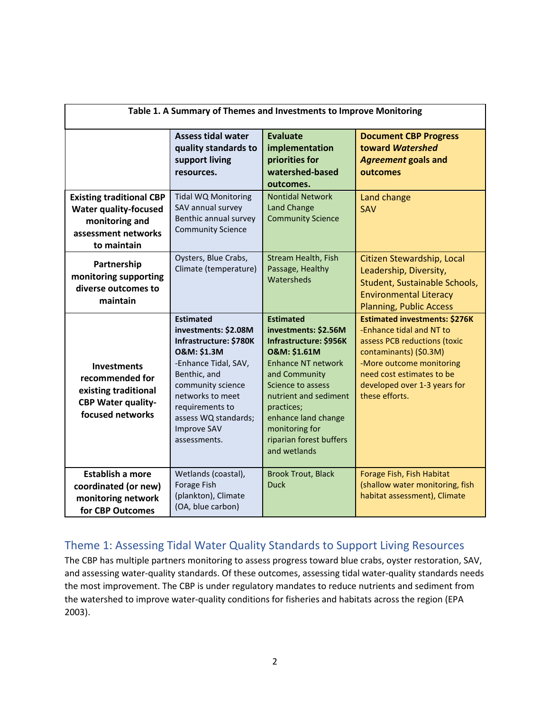| Table 1. A Summary of Themes and Investments to Improve Monitoring                                                      |                                                                                                                                                                                                                                                                |                                                                                                                                                                                                                                                                                             |                                                                                                                                                                                                                                       |
|-------------------------------------------------------------------------------------------------------------------------|----------------------------------------------------------------------------------------------------------------------------------------------------------------------------------------------------------------------------------------------------------------|---------------------------------------------------------------------------------------------------------------------------------------------------------------------------------------------------------------------------------------------------------------------------------------------|---------------------------------------------------------------------------------------------------------------------------------------------------------------------------------------------------------------------------------------|
|                                                                                                                         | <b>Assess tidal water</b><br>quality standards to<br>support living<br>resources.                                                                                                                                                                              | Evaluate<br>implementation<br>priorities for<br>watershed-based<br>outcomes.                                                                                                                                                                                                                | <b>Document CBP Progress</b><br>toward Watershed<br><b>Agreement goals and</b><br>outcomes                                                                                                                                            |
| <b>Existing traditional CBP</b><br><b>Water quality-focused</b><br>monitoring and<br>assessment networks<br>to maintain | Tidal WQ Monitoring<br>SAV annual survey<br>Benthic annual survey<br><b>Community Science</b>                                                                                                                                                                  | <b>Nontidal Network</b><br><b>Land Change</b><br><b>Community Science</b>                                                                                                                                                                                                                   | Land change<br><b>SAV</b>                                                                                                                                                                                                             |
| Partnership<br>monitoring supporting<br>diverse outcomes to<br>maintain                                                 | Oysters, Blue Crabs,<br>Climate (temperature)                                                                                                                                                                                                                  | Stream Health, Fish<br>Passage, Healthy<br>Watersheds                                                                                                                                                                                                                                       | Citizen Stewardship, Local<br>Leadership, Diversity,<br>Student, Sustainable Schools,<br><b>Environmental Literacy</b><br><b>Planning, Public Access</b>                                                                              |
| <b>Investments</b><br>recommended for<br>existing traditional<br><b>CBP Water quality-</b><br>focused networks          | <b>Estimated</b><br>investments: \$2.08M<br>Infrastructure: \$780K<br><b>O&amp;M: \$1.3M</b><br>-Enhance Tidal, SAV,<br>Benthic, and<br>community science<br>networks to meet<br>requirements to<br>assess WQ standards;<br><b>Improve SAV</b><br>assessments. | <b>Estimated</b><br>investments: \$2.56M<br>Infrastructure: \$956K<br><b>O&amp;M: \$1.61M</b><br><b>Enhance NT network</b><br>and Community<br>Science to assess<br>nutrient and sediment<br>practices;<br>enhance land change<br>monitoring for<br>riparian forest buffers<br>and wetlands | <b>Estimated investments: \$276K</b><br>-Enhance tidal and NT to<br>assess PCB reductions (toxic<br>contaminants) (\$0.3M)<br>-More outcome monitoring<br>need cost estimates to be<br>developed over 1-3 years for<br>these efforts. |
| <b>Establish a more</b><br>coordinated (or new)<br>monitoring network<br>for CBP Outcomes                               | Wetlands (coastal),<br>Forage Fish<br>(plankton), Climate<br>(OA, blue carbon)                                                                                                                                                                                 | <b>Brook Trout, Black</b><br><b>Duck</b>                                                                                                                                                                                                                                                    | Forage Fish, Fish Habitat<br>(shallow water monitoring, fish<br>habitat assessment), Climate                                                                                                                                          |

### Theme 1: Assessing Tidal Water Quality Standards to Support Living Resources

The CBP has multiple partners monitoring to assess progress toward blue crabs, oyster restoration, SAV, and assessing water-quality standards. Of these outcomes, assessing tidal water-quality standards needs the most improvement. The CBP is under regulatory mandates to reduce nutrients and sediment from the watershed to improve water-quality conditions for fisheries and habitats across the region (EPA 2003).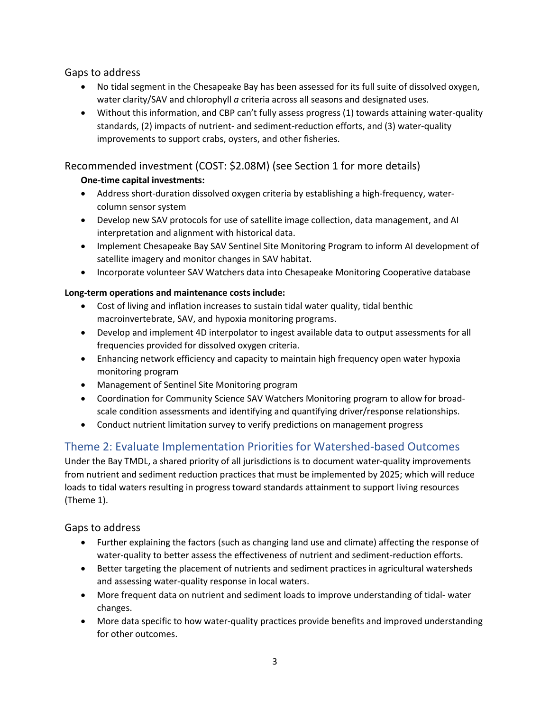Gaps to address

- No tidal segment in the Chesapeake Bay has been assessed for its full suite of dissolved oxygen, water clarity/SAV and chlorophyll *a* criteria across all seasons and designated uses.
- Without this information, and CBP can't fully assess progress (1) towards attaining water-quality standards, (2) impacts of nutrient- and sediment-reduction efforts, and (3) water-quality improvements to support crabs, oysters, and other fisheries.

#### Recommended investment (COST: \$2.08M) (see Section 1 for more details)

#### **One-time capital investments:**

- Address short-duration dissolved oxygen criteria by establishing a high-frequency, watercolumn sensor system
- Develop new SAV protocols for use of satellite image collection, data management, and AI interpretation and alignment with historical data.
- Implement Chesapeake Bay SAV Sentinel Site Monitoring Program to inform AI development of satellite imagery and monitor changes in SAV habitat.
- Incorporate volunteer SAV Watchers data into Chesapeake Monitoring Cooperative database

#### **Long-term operations and maintenance costs include:**

- Cost of living and inflation increases to sustain tidal water quality, tidal benthic macroinvertebrate, SAV, and hypoxia monitoring programs.
- Develop and implement 4D interpolator to ingest available data to output assessments for all frequencies provided for dissolved oxygen criteria.
- Enhancing network efficiency and capacity to maintain high frequency open water hypoxia monitoring program
- Management of Sentinel Site Monitoring program
- Coordination for Community Science SAV Watchers Monitoring program to allow for broadscale condition assessments and identifying and quantifying driver/response relationships.
- Conduct nutrient limitation survey to verify predictions on management progress

### Theme 2: Evaluate Implementation Priorities for Watershed-based Outcomes

Under the Bay TMDL, a shared priority of all jurisdictions is to document water-quality improvements from nutrient and sediment reduction practices that must be implemented by 2025; which will reduce loads to tidal waters resulting in progress toward standards attainment to support living resources (Theme 1).

#### Gaps to address

- Further explaining the factors (such as changing land use and climate) affecting the response of water-quality to better assess the effectiveness of nutrient and sediment-reduction efforts.
- Better targeting the placement of nutrients and sediment practices in agricultural watersheds and assessing water-quality response in local waters.
- More frequent data on nutrient and sediment loads to improve understanding of tidal- water changes.
- More data specific to how water-quality practices provide benefits and improved understanding for other outcomes.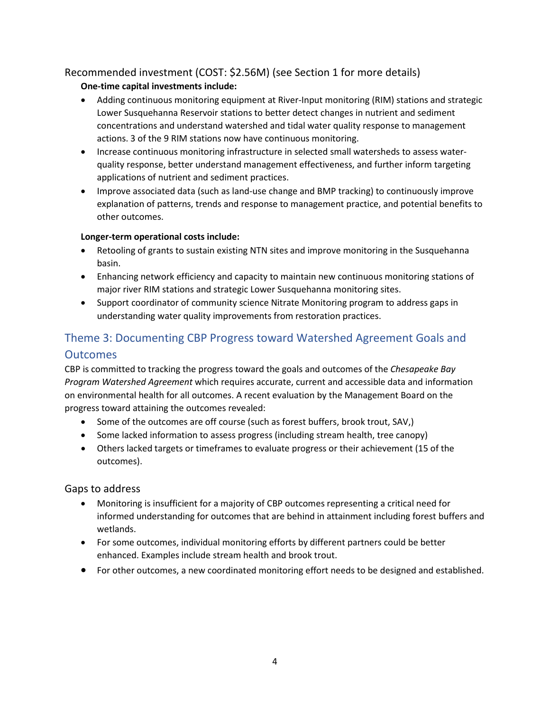#### Recommended investment (COST: \$2.56M) (see Section 1 for more details)

#### **One-time capital investments include:**

- Adding continuous monitoring equipment at River-Input monitoring (RIM) stations and strategic Lower Susquehanna Reservoir stations to better detect changes in nutrient and sediment concentrations and understand watershed and tidal water quality response to management actions. 3 of the 9 RIM stations now have continuous monitoring.
- Increase continuous monitoring infrastructure in selected small watersheds to assess waterquality response, better understand management effectiveness, and further inform targeting applications of nutrient and sediment practices.
- Improve associated data (such as land-use change and BMP tracking) to continuously improve explanation of patterns, trends and response to management practice, and potential benefits to other outcomes.

#### **Longer-term operational costs include:**

- Retooling of grants to sustain existing NTN sites and improve monitoring in the Susquehanna basin.
- Enhancing network efficiency and capacity to maintain new continuous monitoring stations of major river RIM stations and strategic Lower Susquehanna monitoring sites.
- Support coordinator of community science Nitrate Monitoring program to address gaps in understanding water quality improvements from restoration practices.

## Theme 3: Documenting CBP Progress toward Watershed Agreement Goals and **Outcomes**

CBP is committed to tracking the progress toward the goals and outcomes of the *Chesapeake Bay Program Watershed Agreement* which requires accurate, current and accessible data and information on environmental health for all outcomes. A recent evaluation by the Management Board on the progress toward attaining the outcomes revealed:

- Some of the outcomes are off course (such as forest buffers, brook trout, SAV,)
- Some lacked information to assess progress (including stream health, tree canopy)
- Others lacked targets or timeframes to evaluate progress or their achievement (15 of the outcomes).

#### Gaps to address

- Monitoring is insufficient for a majority of CBP outcomes representing a critical need for informed understanding for outcomes that are behind in attainment including forest buffers and wetlands.
- For some outcomes, individual monitoring efforts by different partners could be better enhanced. Examples include stream health and brook trout.
- For other outcomes, a new coordinated monitoring effort needs to be designed and established.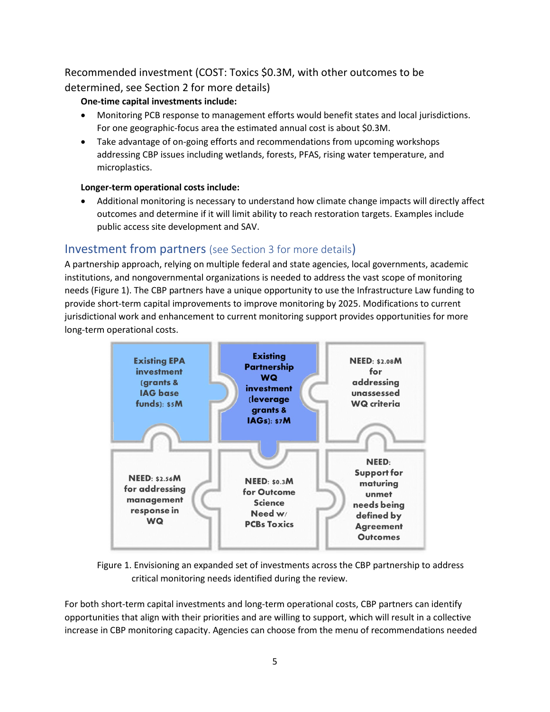## Recommended investment (COST: Toxics \$0.3M, with other outcomes to be determined, see Section 2 for more details)

#### **One-time capital investments include:**

- Monitoring PCB response to management efforts would benefit states and local jurisdictions. For one geographic-focus area the estimated annual cost is about \$0.3M.
- Take advantage of on-going efforts and recommendations from upcoming workshops addressing CBP issues including wetlands, forests, PFAS, rising water temperature, and microplastics.

#### **Longer-term operational costs include:**

• Additional monitoring is necessary to understand how climate change impacts will directly affect outcomes and determine if it will limit ability to reach restoration targets. Examples include public access site development and SAV.

## Investment from partners (see Section 3 for more details)

A partnership approach, relying on multiple federal and state agencies, local governments, academic institutions, and nongovernmental organizations is needed to address the vast scope of monitoring needs (Figure 1). The CBP partners have a unique opportunity to use the Infrastructure Law funding to provide short-term capital improvements to improve monitoring by 2025. Modifications to current jurisdictional work and enhancement to current monitoring support provides opportunities for more long-term operational costs.



Figure 1. Envisioning an expanded set of investments across the CBP partnership to address critical monitoring needs identified during the review.

For both short-term capital investments and long-term operational costs, CBP partners can identify opportunities that align with their priorities and are willing to support, which will result in a collective increase in CBP monitoring capacity. Agencies can choose from the menu of recommendations needed